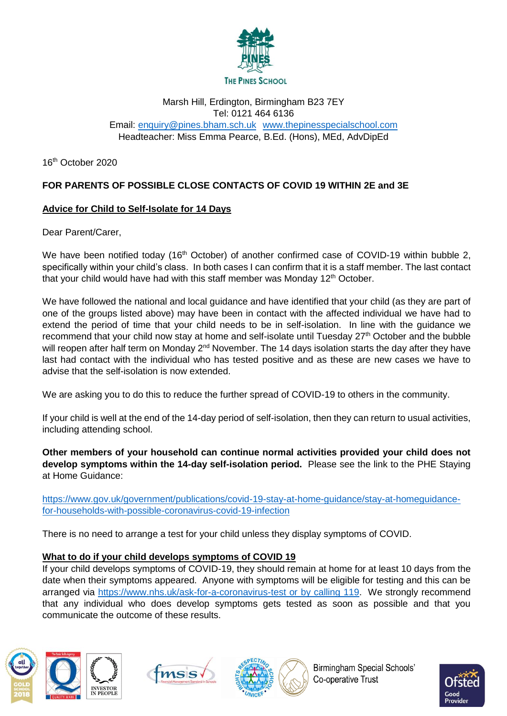

#### Marsh Hill, Erdington, Birmingham B23 7EY Tel: 0121 464 6136 Email: [enquiry@pines.bham.sch.uk](mailto:enquiry@pines.bham.sch.uk) [www.thepinesspecialschool.com](http://www.thepinesspecialschool.com/) Headteacher: Miss Emma Pearce, B.Ed. (Hons), MEd, AdvDipEd

16 th October 2020

## **FOR PARENTS OF POSSIBLE CLOSE CONTACTS OF COVID 19 WITHIN 2E and 3E**

#### **Advice for Child to Self-Isolate for 14 Days**

Dear Parent/Carer,

We have been notified today (16<sup>th</sup> October) of another confirmed case of COVID-19 within bubble 2, specifically within your child's class. In both cases I can confirm that it is a staff member. The last contact that your child would have had with this staff member was Monday  $12<sup>th</sup>$  October.

We have followed the national and local guidance and have identified that your child (as they are part of one of the groups listed above) may have been in contact with the affected individual we have had to extend the period of time that your child needs to be in self-isolation. In line with the guidance we recommend that your child now stay at home and self-isolate until Tuesday 27<sup>th</sup> October and the bubble will reopen after half term on Monday 2<sup>nd</sup> November. The 14 days isolation starts the day after they have last had contact with the individual who has tested positive and as these are new cases we have to advise that the self-isolation is now extended.

We are asking you to do this to reduce the further spread of COVID-19 to others in the community.

If your child is well at the end of the 14-day period of self-isolation, then they can return to usual activities, including attending school.

**Other members of your household can continue normal activities provided your child does not develop symptoms within the 14-day self-isolation period.** Please see the link to the PHE Staying at Home Guidance:

[https://www.gov.uk/government/publications/covid-19-stay-at-home-guidance/stay-at-homeguidance](https://www.gov.uk/government/publications/covid-19-stay-at-home-guidance/stay-at-homeguidance-for-households-with-possible-coronavirus-covid-19-infection)[for-households-with-possible-coronavirus-covid-19-infection](https://www.gov.uk/government/publications/covid-19-stay-at-home-guidance/stay-at-homeguidance-for-households-with-possible-coronavirus-covid-19-infection)

There is no need to arrange a test for your child unless they display symptoms of COVID.

#### **What to do if your child develops symptoms of COVID 19**

If your child develops symptoms of COVID-19, they should remain at home for at least 10 days from the date when their symptoms appeared. Anyone with symptoms will be eligible for testing and this can be arranged via [https://www.nhs.uk/ask-for-a-coronavirus-test or by calling 119.](https://www.nhs.uk/ask-for-a-coronavirus-test%20or%20by%20calling%20119) We strongly recommend that any individual who does develop symptoms gets tested as soon as possible and that you communicate the outcome of these results.









**Birmingham Special Schools'** Co-operative Trust